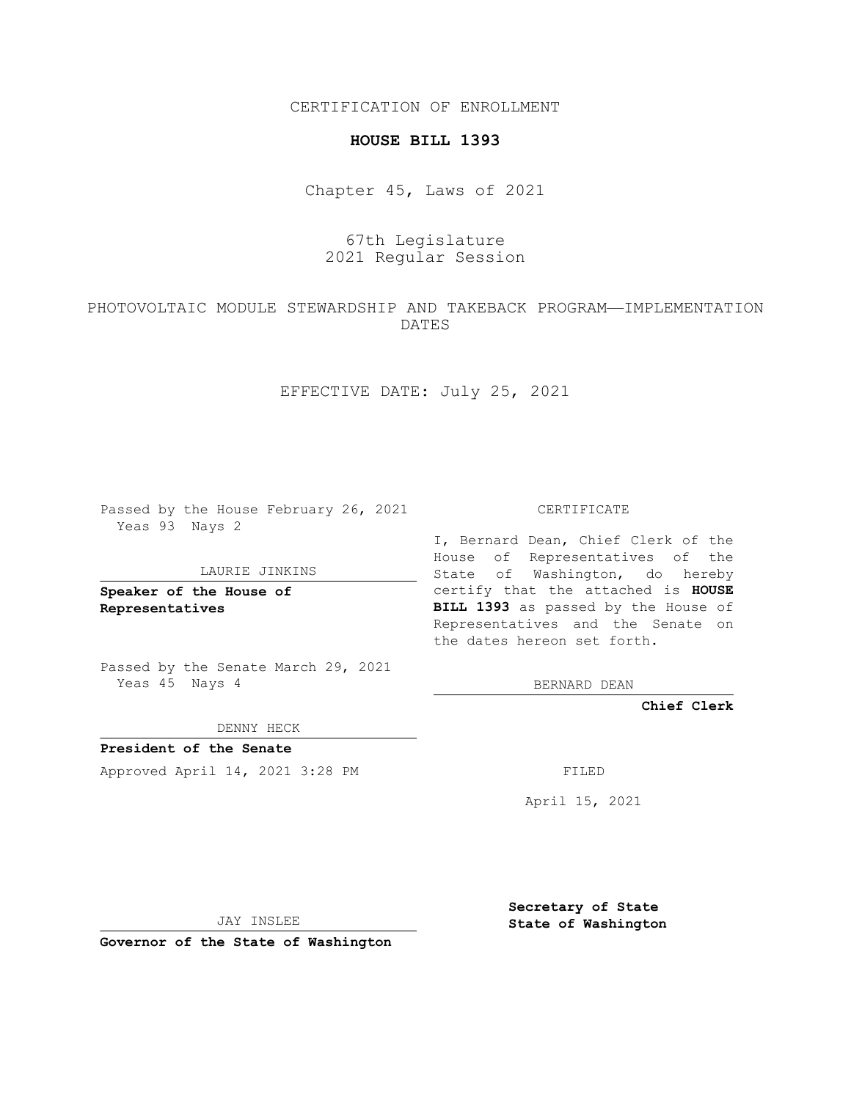CERTIFICATION OF ENROLLMENT

#### **HOUSE BILL 1393**

Chapter 45, Laws of 2021

# 67th Legislature 2021 Regular Session

## PHOTOVOLTAIC MODULE STEWARDSHIP AND TAKEBACK PROGRAM—IMPLEMENTATION DATES

EFFECTIVE DATE: July 25, 2021

Passed by the House February 26, 2021 Yeas 93 Nays 2

#### LAURIE JINKINS

**Speaker of the House of Representatives**

Passed by the Senate March 29, 2021 Yeas 45 Nays 4

DENNY HECK

**President of the Senate** Approved April 14, 2021 3:28 PM FILED

CERTIFICATE

I, Bernard Dean, Chief Clerk of the House of Representatives of the State of Washington, do hereby certify that the attached is **HOUSE BILL 1393** as passed by the House of Representatives and the Senate on the dates hereon set forth.

BERNARD DEAN

**Chief Clerk**

April 15, 2021

JAY INSLEE

**Governor of the State of Washington**

**Secretary of State State of Washington**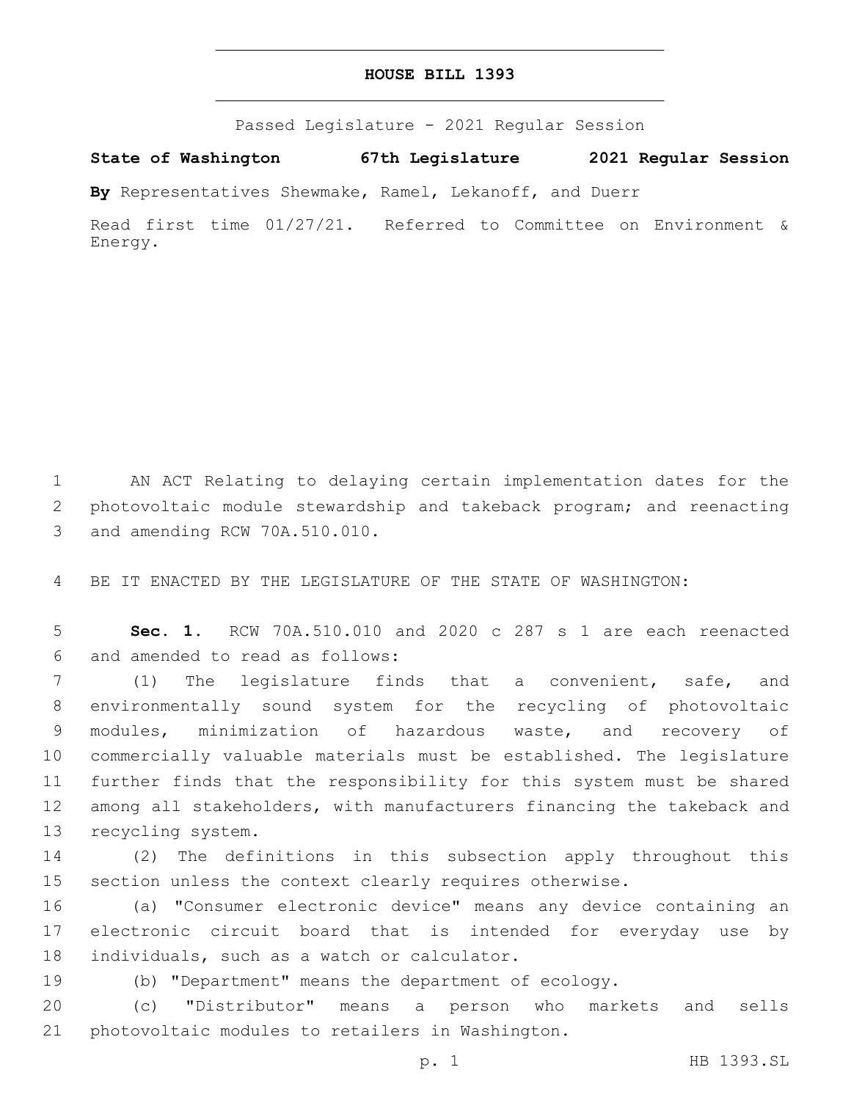### **HOUSE BILL 1393**

Passed Legislature - 2021 Regular Session

**State of Washington 67th Legislature 2021 Regular Session**

**By** Representatives Shewmake, Ramel, Lekanoff, and Duerr

Read first time 01/27/21. Referred to Committee on Environment & Energy.

1 AN ACT Relating to delaying certain implementation dates for the 2 photovoltaic module stewardship and takeback program; and reenacting 3 and amending RCW 70A.510.010.

4 BE IT ENACTED BY THE LEGISLATURE OF THE STATE OF WASHINGTON:

5 **Sec. 1.** RCW 70A.510.010 and 2020 c 287 s 1 are each reenacted 6 and amended to read as follows:

 (1) The legislature finds that a convenient, safe, and environmentally sound system for the recycling of photovoltaic modules, minimization of hazardous waste, and recovery of commercially valuable materials must be established. The legislature further finds that the responsibility for this system must be shared among all stakeholders, with manufacturers financing the takeback and 13 recycling system.

14 (2) The definitions in this subsection apply throughout this 15 section unless the context clearly requires otherwise.

16 (a) "Consumer electronic device" means any device containing an 17 electronic circuit board that is intended for everyday use by 18 individuals, such as a watch or calculator.

19 (b) "Department" means the department of ecology.

20 (c) "Distributor" means a person who markets and sells 21 photovoltaic modules to retailers in Washington.

p. 1 HB 1393.SL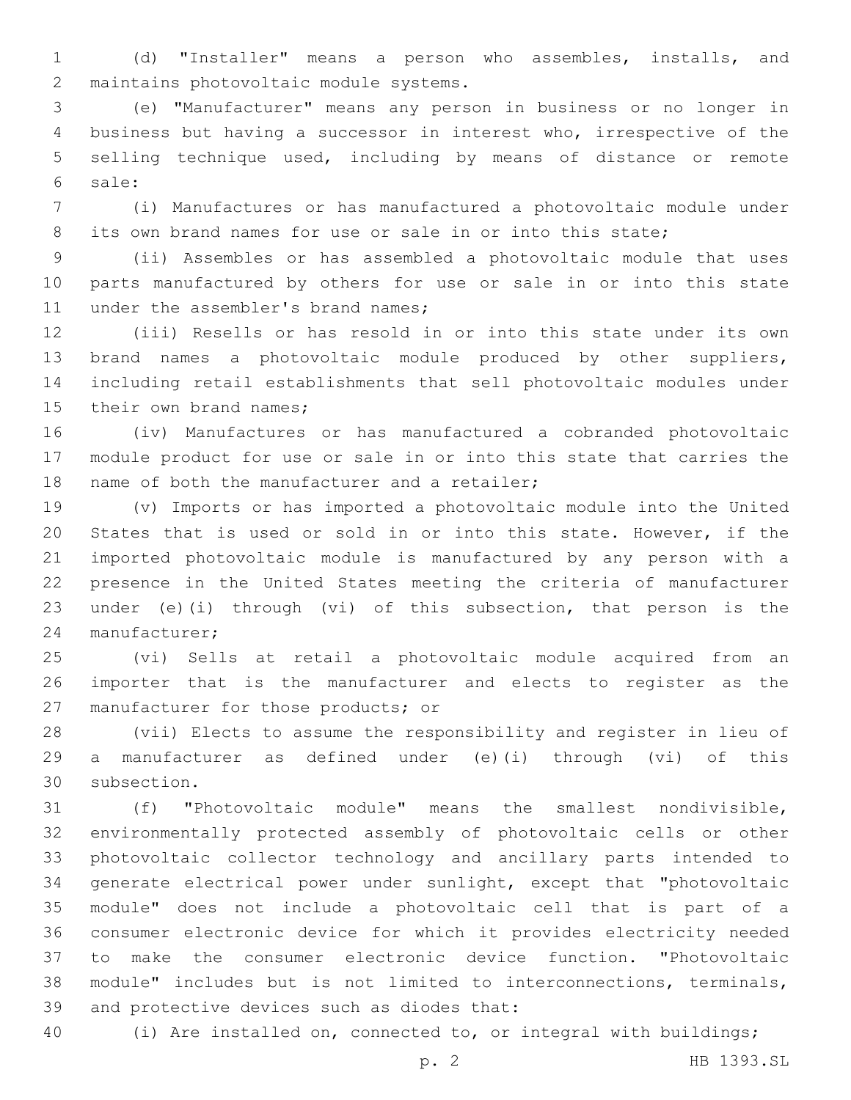(d) "Installer" means a person who assembles, installs, and 2 maintains photovoltaic module systems.

 (e) "Manufacturer" means any person in business or no longer in business but having a successor in interest who, irrespective of the selling technique used, including by means of distance or remote sale:6

 (i) Manufactures or has manufactured a photovoltaic module under its own brand names for use or sale in or into this state;

 (ii) Assembles or has assembled a photovoltaic module that uses parts manufactured by others for use or sale in or into this state 11 under the assembler's brand names;

 (iii) Resells or has resold in or into this state under its own brand names a photovoltaic module produced by other suppliers, including retail establishments that sell photovoltaic modules under 15 their own brand names;

 (iv) Manufactures or has manufactured a cobranded photovoltaic module product for use or sale in or into this state that carries the 18 name of both the manufacturer and a retailer;

 (v) Imports or has imported a photovoltaic module into the United States that is used or sold in or into this state. However, if the imported photovoltaic module is manufactured by any person with a presence in the United States meeting the criteria of manufacturer under (e)(i) through (vi) of this subsection, that person is the 24 manufacturer;

 (vi) Sells at retail a photovoltaic module acquired from an importer that is the manufacturer and elects to register as the 27 manufacturer for those products; or

 (vii) Elects to assume the responsibility and register in lieu of a manufacturer as defined under (e)(i) through (vi) of this 30 subsection.

 (f) "Photovoltaic module" means the smallest nondivisible, environmentally protected assembly of photovoltaic cells or other photovoltaic collector technology and ancillary parts intended to generate electrical power under sunlight, except that "photovoltaic module" does not include a photovoltaic cell that is part of a consumer electronic device for which it provides electricity needed to make the consumer electronic device function. "Photovoltaic module" includes but is not limited to interconnections, terminals, 39 and protective devices such as diodes that:

(i) Are installed on, connected to, or integral with buildings;

p. 2 HB 1393.SL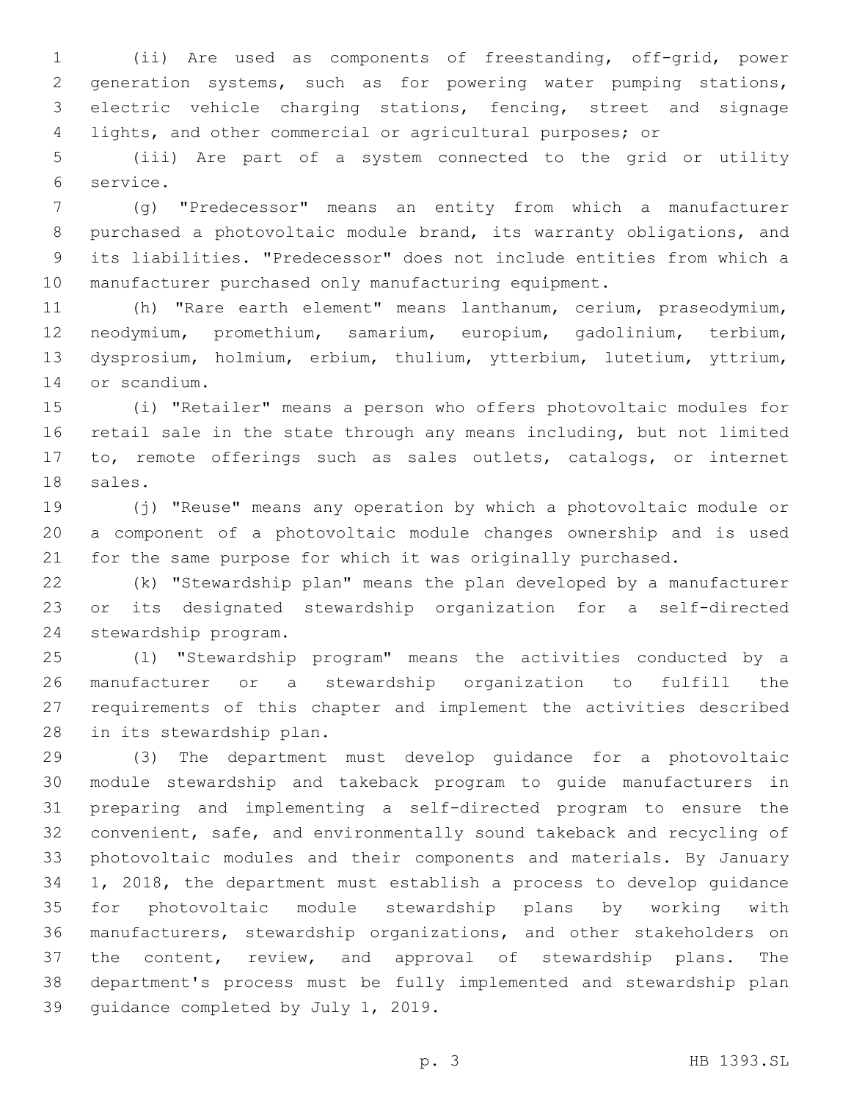(ii) Are used as components of freestanding, off-grid, power generation systems, such as for powering water pumping stations, electric vehicle charging stations, fencing, street and signage lights, and other commercial or agricultural purposes; or

 (iii) Are part of a system connected to the grid or utility 6 service.

 (g) "Predecessor" means an entity from which a manufacturer purchased a photovoltaic module brand, its warranty obligations, and its liabilities. "Predecessor" does not include entities from which a manufacturer purchased only manufacturing equipment.

 (h) "Rare earth element" means lanthanum, cerium, praseodymium, neodymium, promethium, samarium, europium, gadolinium, terbium, dysprosium, holmium, erbium, thulium, ytterbium, lutetium, yttrium, 14 or scandium.

 (i) "Retailer" means a person who offers photovoltaic modules for retail sale in the state through any means including, but not limited to, remote offerings such as sales outlets, catalogs, or internet 18 sales.

 (j) "Reuse" means any operation by which a photovoltaic module or a component of a photovoltaic module changes ownership and is used for the same purpose for which it was originally purchased.

 (k) "Stewardship plan" means the plan developed by a manufacturer or its designated stewardship organization for a self-directed 24 stewardship program.

 (l) "Stewardship program" means the activities conducted by a manufacturer or a stewardship organization to fulfill the requirements of this chapter and implement the activities described 28 in its stewardship plan.

 (3) The department must develop guidance for a photovoltaic module stewardship and takeback program to guide manufacturers in preparing and implementing a self-directed program to ensure the convenient, safe, and environmentally sound takeback and recycling of photovoltaic modules and their components and materials. By January 1, 2018, the department must establish a process to develop guidance for photovoltaic module stewardship plans by working with manufacturers, stewardship organizations, and other stakeholders on the content, review, and approval of stewardship plans. The department's process must be fully implemented and stewardship plan 39 quidance completed by July 1, 2019.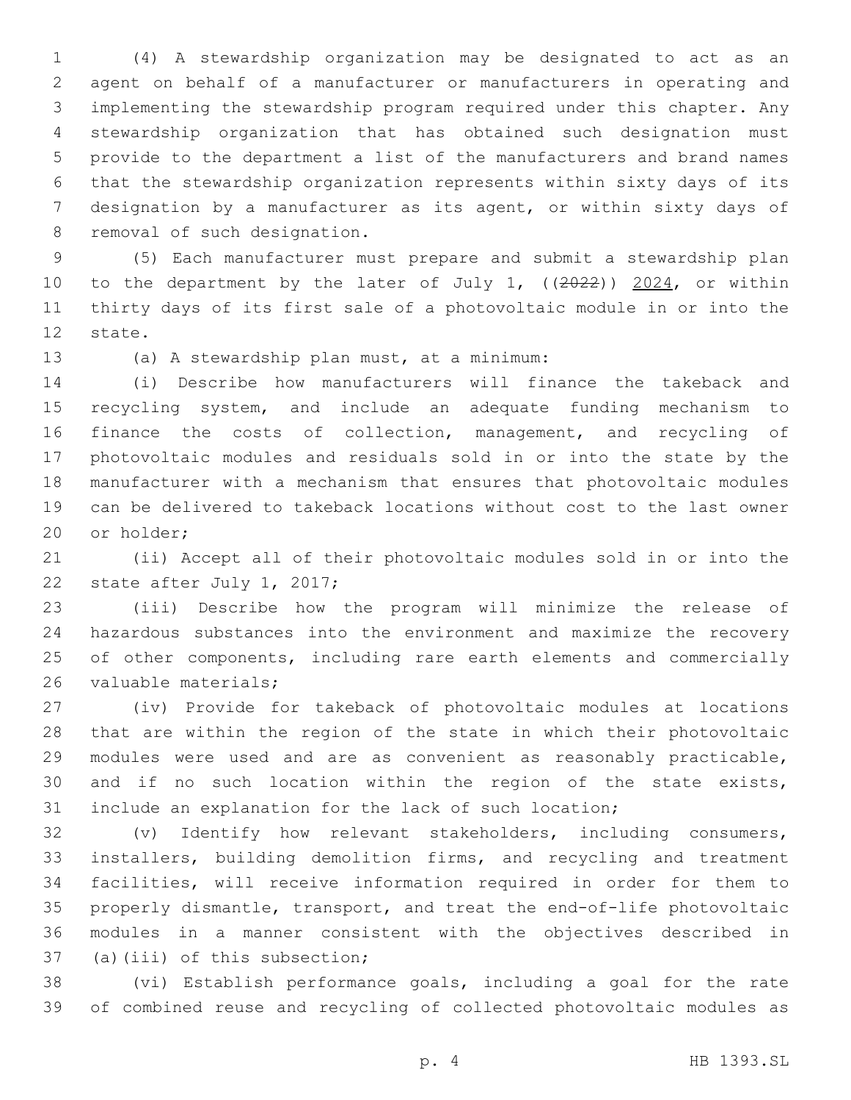(4) A stewardship organization may be designated to act as an agent on behalf of a manufacturer or manufacturers in operating and implementing the stewardship program required under this chapter. Any stewardship organization that has obtained such designation must provide to the department a list of the manufacturers and brand names that the stewardship organization represents within sixty days of its designation by a manufacturer as its agent, or within sixty days of 8 removal of such designation.

 (5) Each manufacturer must prepare and submit a stewardship plan 10 to the department by the later of July 1, ((2022)) 2024, or within thirty days of its first sale of a photovoltaic module in or into the 12 state.

13 (a) A stewardship plan must, at a minimum:

 (i) Describe how manufacturers will finance the takeback and recycling system, and include an adequate funding mechanism to finance the costs of collection, management, and recycling of photovoltaic modules and residuals sold in or into the state by the manufacturer with a mechanism that ensures that photovoltaic modules can be delivered to takeback locations without cost to the last owner 20 or holder;

 (ii) Accept all of their photovoltaic modules sold in or into the 22 state after July 1, 2017;

 (iii) Describe how the program will minimize the release of hazardous substances into the environment and maximize the recovery 25 of other components, including rare earth elements and commercially 26 valuable materials;

 (iv) Provide for takeback of photovoltaic modules at locations that are within the region of the state in which their photovoltaic modules were used and are as convenient as reasonably practicable, and if no such location within the region of the state exists, include an explanation for the lack of such location;

 (v) Identify how relevant stakeholders, including consumers, installers, building demolition firms, and recycling and treatment facilities, will receive information required in order for them to properly dismantle, transport, and treat the end-of-life photovoltaic modules in a manner consistent with the objectives described in 37 (a)(iii) of this subsection;

 (vi) Establish performance goals, including a goal for the rate of combined reuse and recycling of collected photovoltaic modules as

p. 4 HB 1393.SL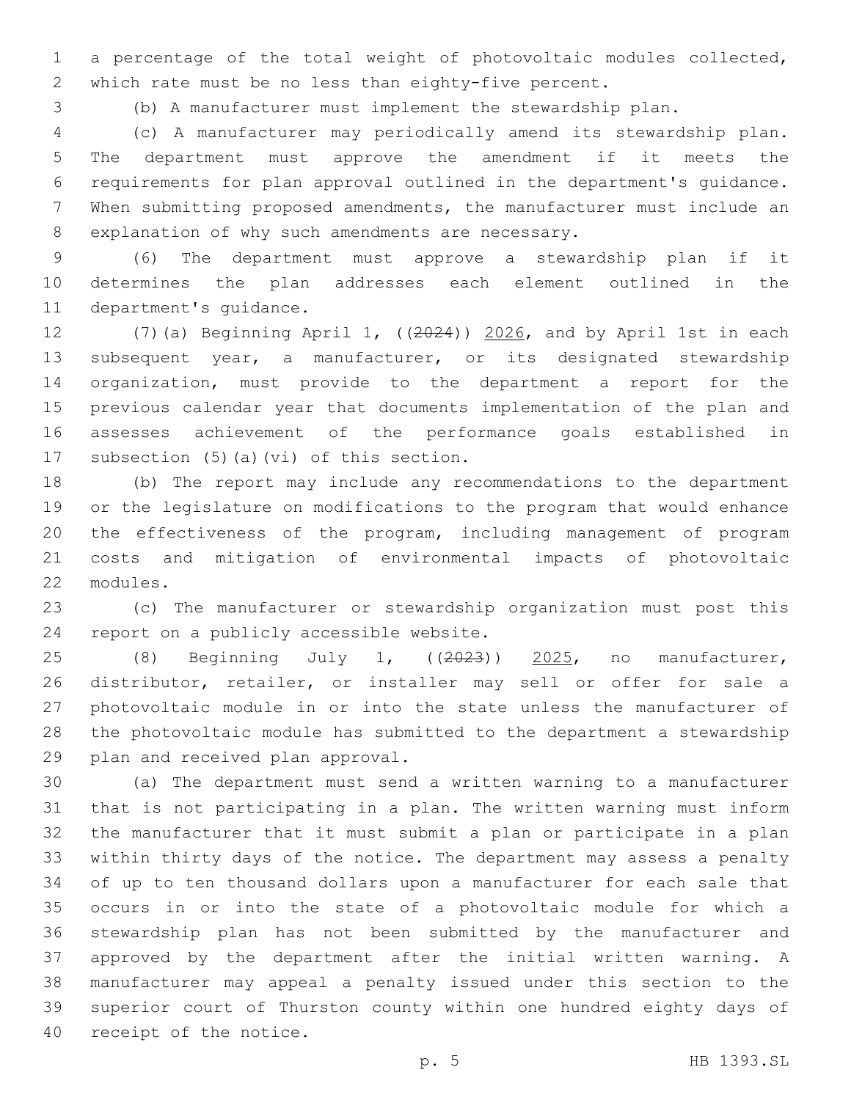a percentage of the total weight of photovoltaic modules collected, which rate must be no less than eighty-five percent.

(b) A manufacturer must implement the stewardship plan.

 (c) A manufacturer may periodically amend its stewardship plan. The department must approve the amendment if it meets the requirements for plan approval outlined in the department's guidance. When submitting proposed amendments, the manufacturer must include an 8 explanation of why such amendments are necessary.

 (6) The department must approve a stewardship plan if it determines the plan addresses each element outlined in the 11 department's quidance.

 (7)(a) Beginning April 1, ((2024)) 2026, and by April 1st in each subsequent year, a manufacturer, or its designated stewardship organization, must provide to the department a report for the previous calendar year that documents implementation of the plan and assesses achievement of the performance goals established in 17 subsection  $(5)$  (a)(vi) of this section.

 (b) The report may include any recommendations to the department or the legislature on modifications to the program that would enhance the effectiveness of the program, including management of program costs and mitigation of environmental impacts of photovoltaic 22 modules.

 (c) The manufacturer or stewardship organization must post this 24 report on a publicly accessible website.

25 (8) Beginning July 1, ((2023)) 2025, no manufacturer, distributor, retailer, or installer may sell or offer for sale a photovoltaic module in or into the state unless the manufacturer of the photovoltaic module has submitted to the department a stewardship 29 plan and received plan approval.

 (a) The department must send a written warning to a manufacturer that is not participating in a plan. The written warning must inform the manufacturer that it must submit a plan or participate in a plan within thirty days of the notice. The department may assess a penalty of up to ten thousand dollars upon a manufacturer for each sale that occurs in or into the state of a photovoltaic module for which a stewardship plan has not been submitted by the manufacturer and approved by the department after the initial written warning. A manufacturer may appeal a penalty issued under this section to the superior court of Thurston county within one hundred eighty days of 40 receipt of the notice.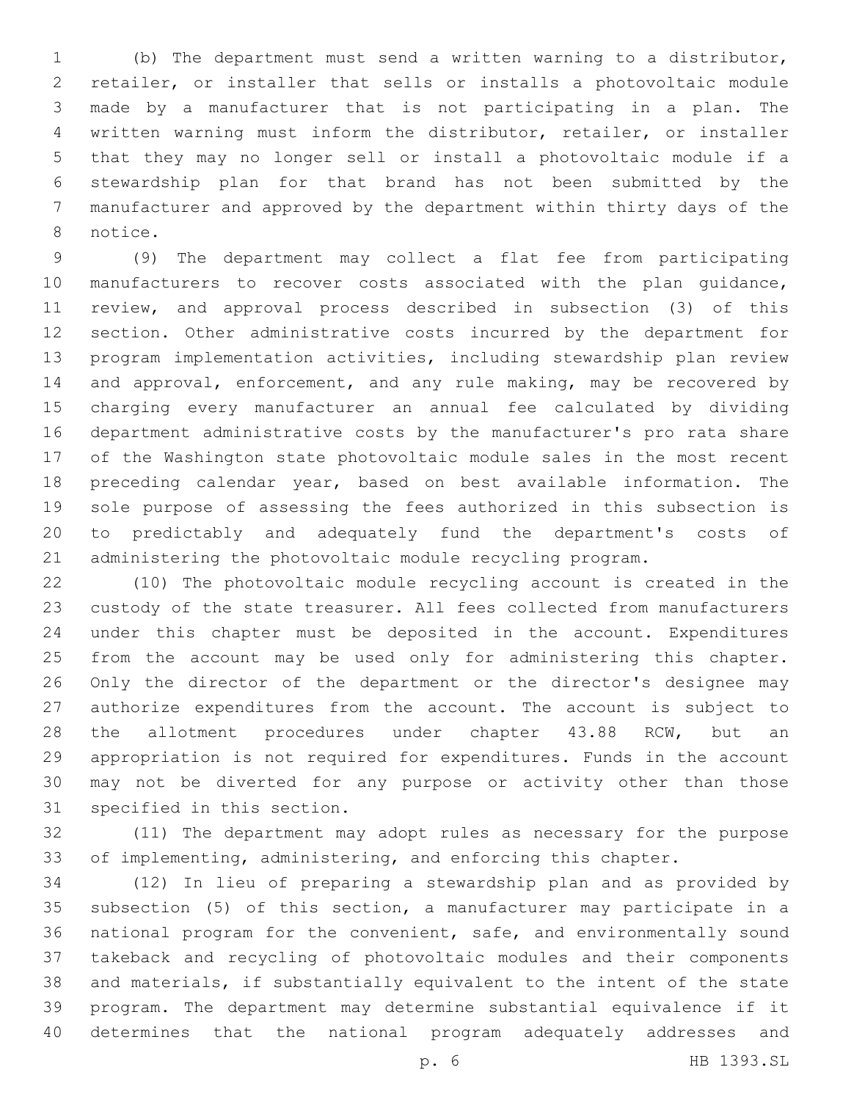(b) The department must send a written warning to a distributor, retailer, or installer that sells or installs a photovoltaic module made by a manufacturer that is not participating in a plan. The written warning must inform the distributor, retailer, or installer that they may no longer sell or install a photovoltaic module if a stewardship plan for that brand has not been submitted by the manufacturer and approved by the department within thirty days of the 8 notice.

 (9) The department may collect a flat fee from participating manufacturers to recover costs associated with the plan guidance, review, and approval process described in subsection (3) of this section. Other administrative costs incurred by the department for program implementation activities, including stewardship plan review and approval, enforcement, and any rule making, may be recovered by charging every manufacturer an annual fee calculated by dividing department administrative costs by the manufacturer's pro rata share of the Washington state photovoltaic module sales in the most recent preceding calendar year, based on best available information. The sole purpose of assessing the fees authorized in this subsection is to predictably and adequately fund the department's costs of administering the photovoltaic module recycling program.

 (10) The photovoltaic module recycling account is created in the custody of the state treasurer. All fees collected from manufacturers under this chapter must be deposited in the account. Expenditures from the account may be used only for administering this chapter. Only the director of the department or the director's designee may authorize expenditures from the account. The account is subject to 28 the allotment procedures under chapter 43.88 RCW, but an appropriation is not required for expenditures. Funds in the account may not be diverted for any purpose or activity other than those 31 specified in this section.

 (11) The department may adopt rules as necessary for the purpose of implementing, administering, and enforcing this chapter.

 (12) In lieu of preparing a stewardship plan and as provided by subsection (5) of this section, a manufacturer may participate in a national program for the convenient, safe, and environmentally sound takeback and recycling of photovoltaic modules and their components and materials, if substantially equivalent to the intent of the state program. The department may determine substantial equivalence if it determines that the national program adequately addresses and

p. 6 HB 1393.SL